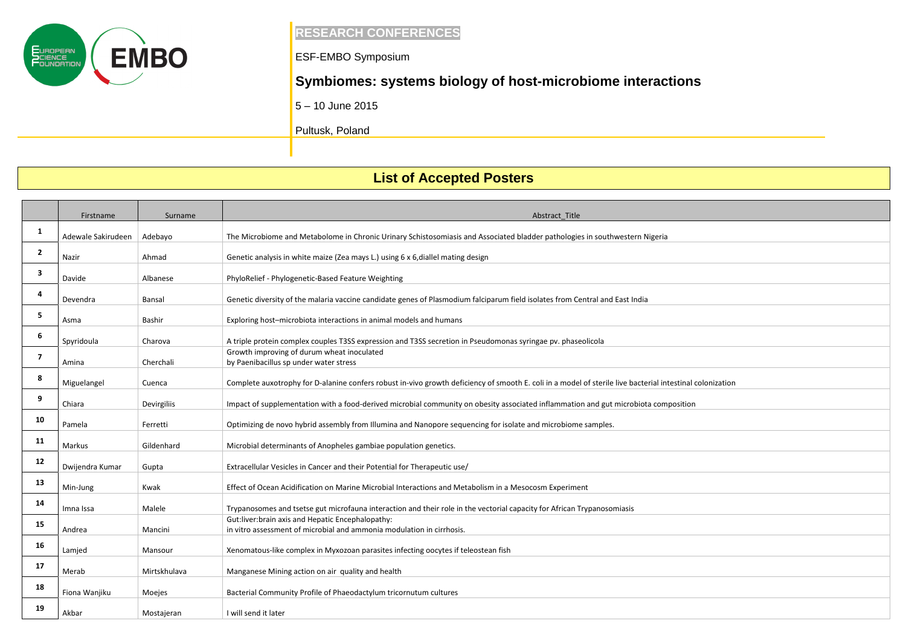

### **RESEARCH CONFERENCES**

ESF-EMBO Symposium

## **Symbiomes: systems biology of host-microbiome interactions**

5 – 10 June 2015

Pultusk, Poland

# **List of Accepted Posters**

|                | Firstname          | Surname      | Abstract_Title                                                                                                                                            |
|----------------|--------------------|--------------|-----------------------------------------------------------------------------------------------------------------------------------------------------------|
| 1              |                    |              |                                                                                                                                                           |
|                | Adewale Sakirudeen | Adebayo      | The Microbiome and Metabolome in Chronic Urinary Schistosomiasis and Associated bladder pathologies in southwestern Nigeria                               |
| $\overline{2}$ | Nazir              | Ahmad        | Genetic analysis in white maize (Zea mays L.) using 6 x 6, diallel mating design                                                                          |
| 3              | Davide             | Albanese     | PhyloRelief - Phylogenetic-Based Feature Weighting                                                                                                        |
| 4              | Devendra           | Bansal       | Genetic diversity of the malaria vaccine candidate genes of Plasmodium falciparum field isolates from Central and East India                              |
|                |                    |              |                                                                                                                                                           |
| 5              | Asma               | Bashir       | Exploring host-microbiota interactions in animal models and humans                                                                                        |
| 6              | Spyridoula         | Charova      | A triple protein complex couples T3SS expression and T3SS secretion in Pseudomonas syringae pv. phaseolicola                                              |
| $\overline{7}$ |                    |              | Growth improving of durum wheat inoculated                                                                                                                |
|                | Amina              | Cherchali    | by Paenibacillus sp under water stress                                                                                                                    |
| 8              | Miguelangel        | Cuenca       | Complete auxotrophy for D-alanine confers robust in-vivo growth deficiency of smooth E. coli in a model of sterile live bacterial intestinal colonization |
| 9              | Chiara             | Devirgiliis  | Impact of supplementation with a food-derived microbial community on obesity associated inflammation and gut microbiota composition                       |
| 10             | Pamela             | Ferretti     | Optimizing de novo hybrid assembly from Illumina and Nanopore sequencing for isolate and microbiome samples.                                              |
| 11             | Markus             | Gildenhard   | Microbial determinants of Anopheles gambiae population genetics.                                                                                          |
|                |                    |              |                                                                                                                                                           |
| 12             | Dwijendra Kumar    | Gupta        | Extracellular Vesicles in Cancer and their Potential for Therapeutic use/                                                                                 |
| 13             | Min-Jung           | Kwak         | Effect of Ocean Acidification on Marine Microbial Interactions and Metabolism in a Mesocosm Experiment                                                    |
| 14             | Imna Issa          | Malele       | Trypanosomes and tsetse gut microfauna interaction and their role in the vectorial capacity for African Trypanosomiasis                                   |
| 15             |                    |              | Gut:liver:brain axis and Hepatic Encephalopathy:                                                                                                          |
|                | Andrea             | Mancini      | in vitro assessment of microbial and ammonia modulation in cirrhosis.                                                                                     |
| 16             | Lamjed             | Mansour      | Xenomatous-like complex in Myxozoan parasites infecting oocytes if teleostean fish                                                                        |
| 17             | Merab              | Mirtskhulava | Manganese Mining action on air quality and health                                                                                                         |
| 18             | Fiona Wanjiku      | Moejes       | Bacterial Community Profile of Phaeodactylum tricornutum cultures                                                                                         |
| 19             | Akbar              | Mostajeran   | I will send it later                                                                                                                                      |

| al colonization |  |
|-----------------|--|
|                 |  |
|                 |  |
|                 |  |
|                 |  |
| ion             |  |
|                 |  |
|                 |  |
|                 |  |
|                 |  |
|                 |  |
|                 |  |
|                 |  |
|                 |  |
|                 |  |
|                 |  |
|                 |  |
|                 |  |
|                 |  |
|                 |  |
|                 |  |
|                 |  |
|                 |  |
|                 |  |
|                 |  |
|                 |  |
|                 |  |
|                 |  |
|                 |  |
|                 |  |
|                 |  |
|                 |  |